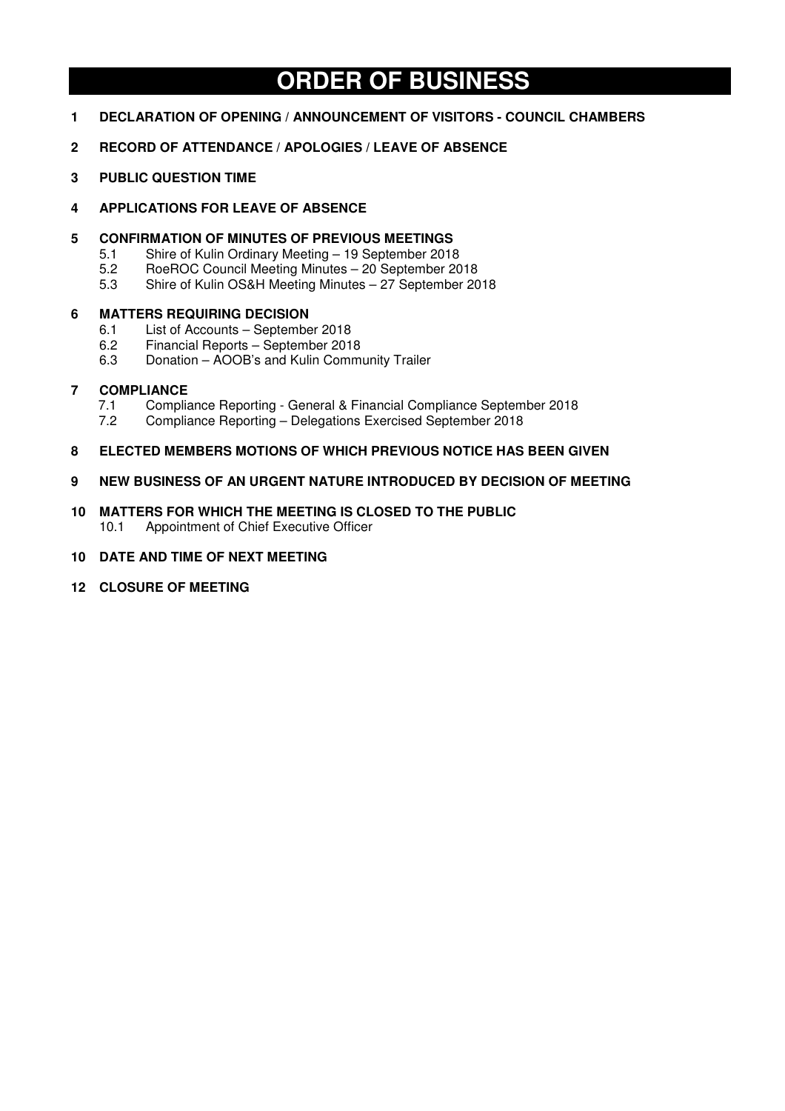# **ORDER OF BUSINESS**

- **1 DECLARATION OF OPENING / ANNOUNCEMENT OF VISITORS COUNCIL CHAMBERS**
- **2 RECORD OF ATTENDANCE / APOLOGIES / LEAVE OF ABSENCE**
- **3 PUBLIC QUESTION TIME**
- **4 APPLICATIONS FOR LEAVE OF ABSENCE**
- **5 CONFIRMATION OF MINUTES OF PREVIOUS MEETINGS** 
	- 5.1 Shire of Kulin Ordinary Meeting 19 September 2018<br>5.2 RoeROC Council Meeting Minutes 20 September 20
	- 5.2 RoeROC Council Meeting Minutes 20 September 2018<br>5.3 Shire of Kulin OS&H Meeting Minutes 27 September 20
	- Shire of Kulin OS&H Meeting Minutes 27 September 2018

#### **6 MATTERS REQUIRING DECISION**

- 6.1 List of Accounts September 2018
- 6.2 Financial Reports September 2018
- 6.3 Donation AOOB's and Kulin Community Trailer

#### **7 COMPLIANCE**

- 7.1 Compliance Reporting General & Financial Compliance September 2018<br>7.2 Compliance Reporting Delegations Exercised September 2018
- 7.2 Compliance Reporting Delegations Exercised September 2018
- **8 ELECTED MEMBERS MOTIONS OF WHICH PREVIOUS NOTICE HAS BEEN GIVEN**
- **9 NEW BUSINESS OF AN URGENT NATURE INTRODUCED BY DECISION OF MEETING**
- **10 MATTERS FOR WHICH THE MEETING IS CLOSED TO THE PUBLIC**  10.1 Appointment of Chief Executive Officer
- **10 DATE AND TIME OF NEXT MEETING**
- **12 CLOSURE OF MEETING**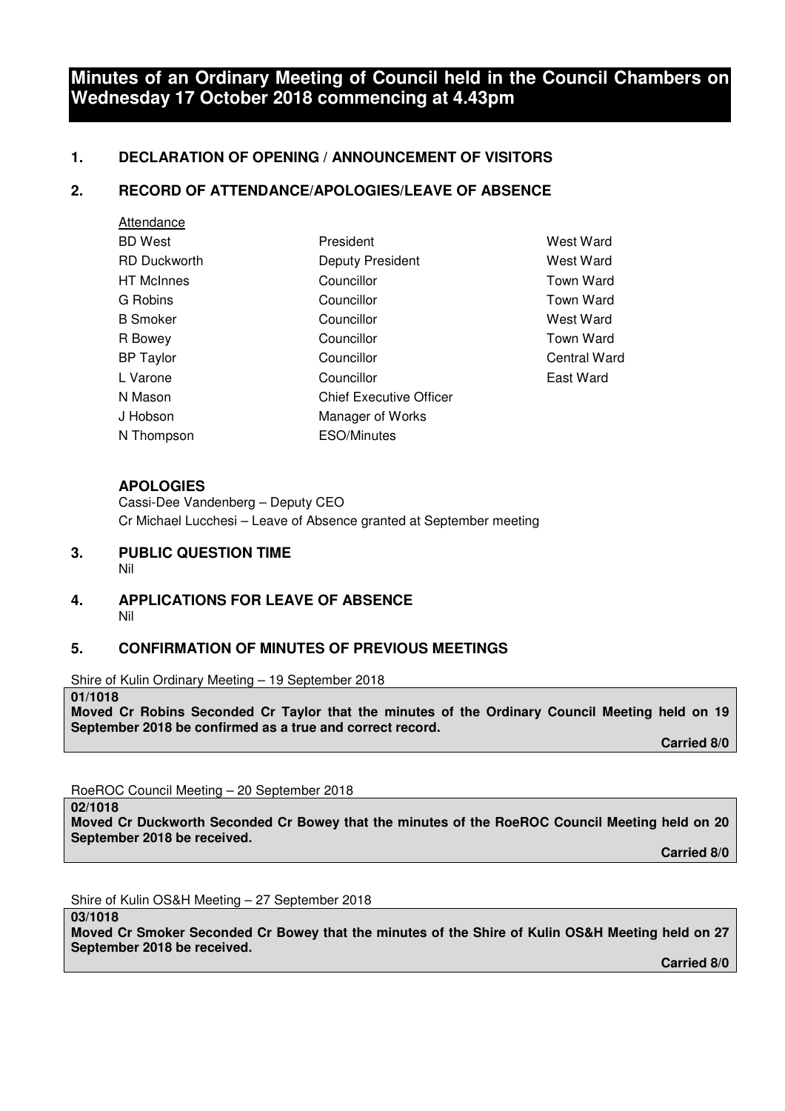# **Minutes of an Ordinary Meeting of Council held in the Council Chambers on Wednesday 17 October 2018 commencing at 4.43pm**

# **1. DECLARATION OF OPENING / ANNOUNCEMENT OF VISITORS**

# **2. RECORD OF ATTENDANCE/APOLOGIES/LEAVE OF ABSENCE**

| Attendance          |                                |                     |
|---------------------|--------------------------------|---------------------|
| <b>BD</b> West      | President                      | West Ward           |
| <b>RD Duckworth</b> | Deputy President               | West Ward           |
| <b>HT</b> McInnes   | Councillor                     | Town Ward           |
| G Robins            | Councillor                     | <b>Town Ward</b>    |
| <b>B</b> Smoker     | Councillor                     | West Ward           |
| R Bowey             | Councillor                     | Town Ward           |
| <b>BP</b> Taylor    | Councillor                     | <b>Central Ward</b> |
| L Varone            | Councillor                     | East Ward           |
| N Mason             | <b>Chief Executive Officer</b> |                     |
| J Hobson            | Manager of Works               |                     |
| N Thompson          | ESO/Minutes                    |                     |

# **APOLOGIES**

Cassi-Dee Vandenberg – Deputy CEO Cr Michael Lucchesi – Leave of Absence granted at September meeting

- **3. PUBLIC QUESTION TIME**  Nil
- **4. APPLICATIONS FOR LEAVE OF ABSENCE**  Nil

# **5. CONFIRMATION OF MINUTES OF PREVIOUS MEETINGS**

Shire of Kulin Ordinary Meeting – 19 September 2018

#### **01/1018**

**Moved Cr Robins Seconded Cr Taylor that the minutes of the Ordinary Council Meeting held on 19 September 2018 be confirmed as a true and correct record.** 

 **Carried 8/0** 

RoeROC Council Meeting – 20 September 2018

**02/1018** 

**Moved Cr Duckworth Seconded Cr Bowey that the minutes of the RoeROC Council Meeting held on 20 September 2018 be received.** 

 **Carried 8/0** 

Shire of Kulin OS&H Meeting – 27 September 2018

**03/1018** 

**Moved Cr Smoker Seconded Cr Bowey that the minutes of the Shire of Kulin OS&H Meeting held on 27 September 2018 be received.** 

 **Carried 8/0**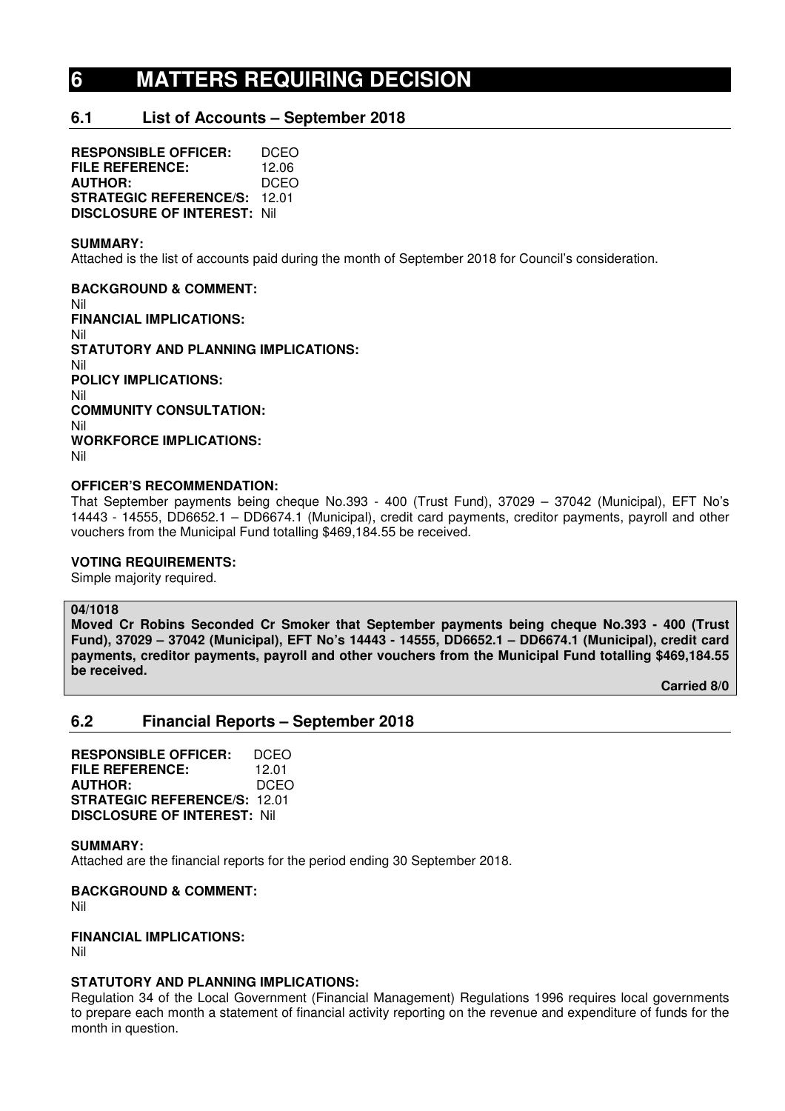# **6 MATTERS REQUIRING DECISION**

# **6.1 List of Accounts – September 2018**

**RESPONSIBLE OFFICER:** DCEO **FILE REFERENCE:** 12.06<br>**AUTHOR:** DCEO **AUTHOR: STRATEGIC REFERENCE/S:** 12.01 **DISCLOSURE OF INTEREST:** Nil

#### **SUMMARY:**

Attached is the list of accounts paid during the month of September 2018 for Council's consideration.

**BACKGROUND & COMMENT:**  Nil **FINANCIAL IMPLICATIONS:**  Nil **STATUTORY AND PLANNING IMPLICATIONS:**  Nil **POLICY IMPLICATIONS:**  Nil **COMMUNITY CONSULTATION:**  Nil **WORKFORCE IMPLICATIONS:**  Nil

### **OFFICER'S RECOMMENDATION:**

That September payments being cheque No.393 - 400 (Trust Fund), 37029 – 37042 (Municipal), EFT No's 14443 - 14555, DD6652.1 – DD6674.1 (Municipal), credit card payments, creditor payments, payroll and other vouchers from the Municipal Fund totalling \$469,184.55 be received.

#### **VOTING REQUIREMENTS:**

Simple majority required.

#### **04/1018**

**Moved Cr Robins Seconded Cr Smoker that September payments being cheque No.393 - 400 (Trust Fund), 37029 – 37042 (Municipal), EFT No's 14443 - 14555, DD6652.1 – DD6674.1 (Municipal), credit card payments, creditor payments, payroll and other vouchers from the Municipal Fund totalling \$469,184.55 be received.** 

 **Carried 8/0** 

# **6.2 Financial Reports – September 2018**

**RESPONSIBLE OFFICER:** DCEO **FILE REFERENCE:** 12.01 **AUTHOR:** DCEO **STRATEGIC REFERENCE/S:** 12.01 **DISCLOSURE OF INTEREST:** Nil

#### **SUMMARY:**

Attached are the financial reports for the period ending 30 September 2018.

**BACKGROUND & COMMENT:** 

Nil

# **FINANCIAL IMPLICATIONS:**

Nil

#### **STATUTORY AND PLANNING IMPLICATIONS:**

Regulation 34 of the Local Government (Financial Management) Regulations 1996 requires local governments to prepare each month a statement of financial activity reporting on the revenue and expenditure of funds for the month in question.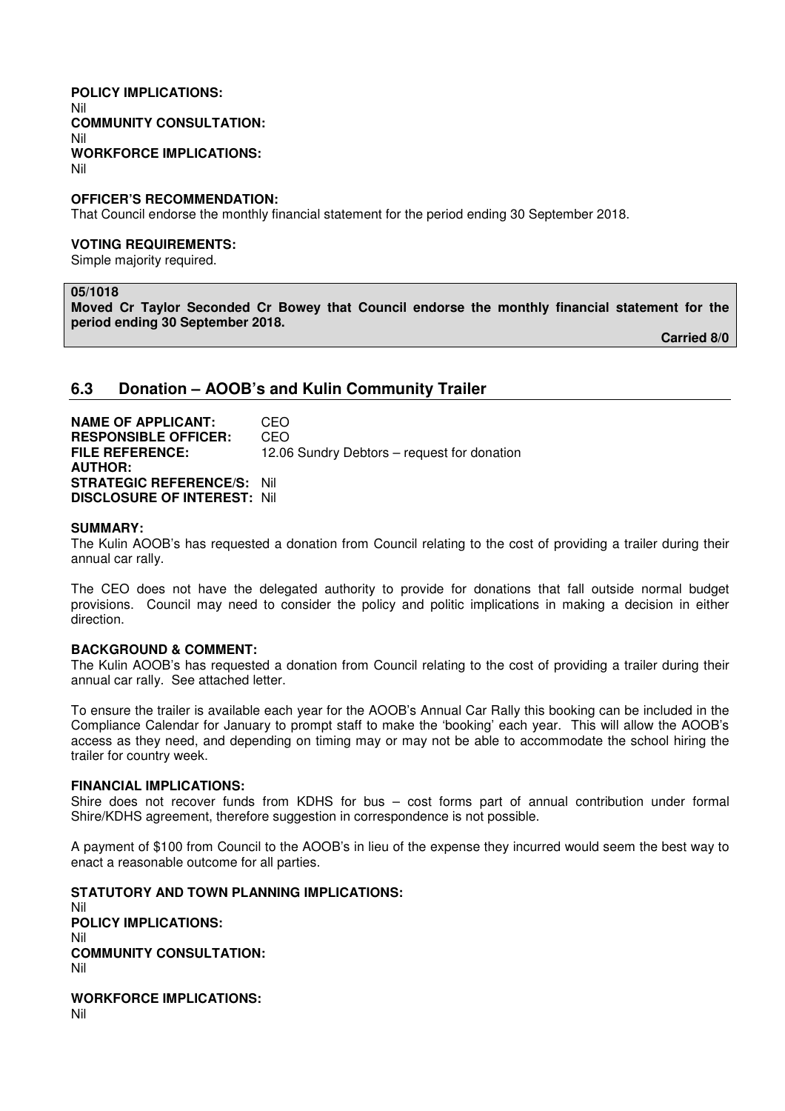#### **POLICY IMPLICATIONS:**  Nil **COMMUNITY CONSULTATION:**  Nil **WORKFORCE IMPLICATIONS:**  Nil

**OFFICER'S RECOMMENDATION:** 

That Council endorse the monthly financial statement for the period ending 30 September 2018.

#### **VOTING REQUIREMENTS:**

Simple majority required.

#### **05/1018**

**Moved Cr Taylor Seconded Cr Bowey that Council endorse the monthly financial statement for the period ending 30 September 2018.** 

 **Carried 8/0** 

#### **6.3 Donation – AOOB's and Kulin Community Trailer**

**NAME OF APPLICANT:** CEO **RESPONSIBLE OFFICER:** CEO **FILE REFERENCE:** 12.06 Sundry Debtors – request for donation **AUTHOR: STRATEGIC REFERENCE/S:** Nil **DISCLOSURE OF INTEREST:** Nil

#### **SUMMARY:**

The Kulin AOOB's has requested a donation from Council relating to the cost of providing a trailer during their annual car rally.

The CEO does not have the delegated authority to provide for donations that fall outside normal budget provisions. Council may need to consider the policy and politic implications in making a decision in either direction.

#### **BACKGROUND & COMMENT:**

The Kulin AOOB's has requested a donation from Council relating to the cost of providing a trailer during their annual car rally. See attached letter.

To ensure the trailer is available each year for the AOOB's Annual Car Rally this booking can be included in the Compliance Calendar for January to prompt staff to make the 'booking' each year. This will allow the AOOB's access as they need, and depending on timing may or may not be able to accommodate the school hiring the trailer for country week.

#### **FINANCIAL IMPLICATIONS:**

Shire does not recover funds from KDHS for bus – cost forms part of annual contribution under formal Shire/KDHS agreement, therefore suggestion in correspondence is not possible.

A payment of \$100 from Council to the AOOB's in lieu of the expense they incurred would seem the best way to enact a reasonable outcome for all parties.

**STATUTORY AND TOWN PLANNING IMPLICATIONS:**  Nil **POLICY IMPLICATIONS:** Nil **COMMUNITY CONSULTATION:** Nil

**WORKFORCE IMPLICATIONS:** Nil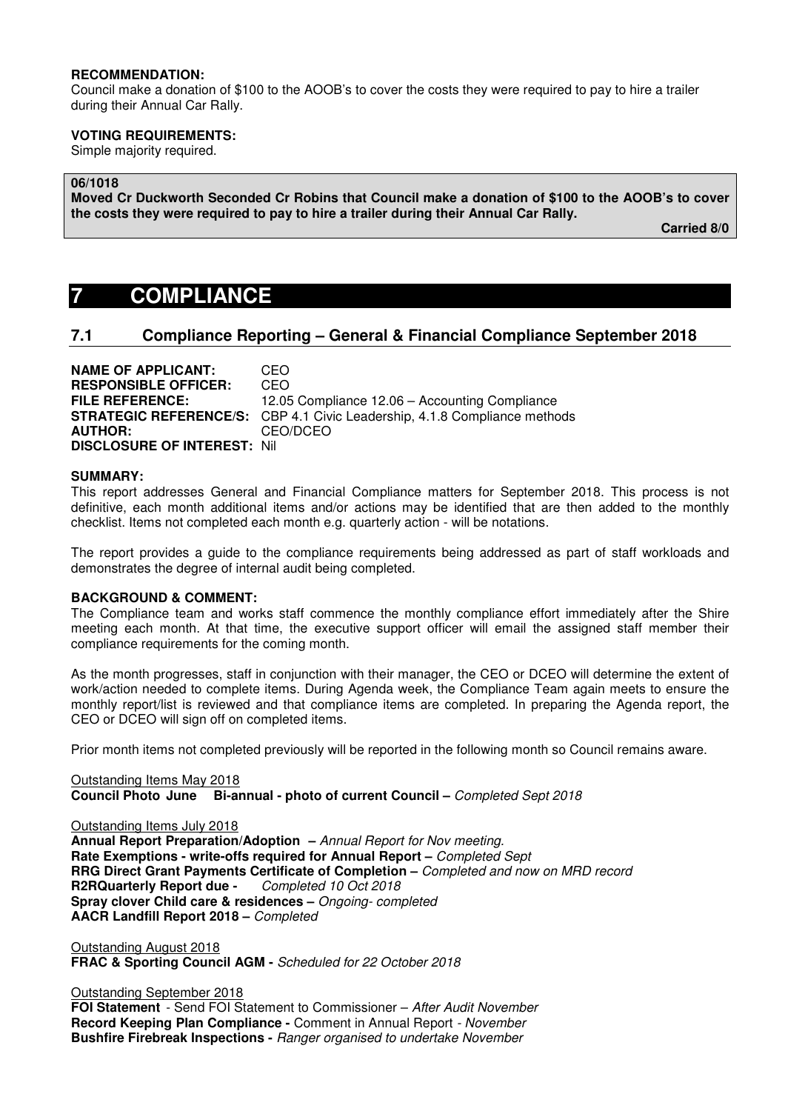#### **RECOMMENDATION:**

Council make a donation of \$100 to the AOOB's to cover the costs they were required to pay to hire a trailer during their Annual Car Rally.

#### **VOTING REQUIREMENTS:**

Simple majority required.

#### **06/1018**

**Moved Cr Duckworth Seconded Cr Robins that Council make a donation of \$100 to the AOOB's to cover the costs they were required to pay to hire a trailer during their Annual Car Rally.** 

 **Carried 8/0** 

# **7 COMPLIANCE**

### **7.1 Compliance Reporting – General & Financial Compliance September 2018**

**NAME OF APPLICANT:** CEO **RESPONSIBLE OFFICER:** CEO **FILE REFERENCE:** 12.05 Compliance 12.06 – Accounting Compliance **STRATEGIC REFERENCE/S:** CBP 4.1 Civic Leadership, 4.1.8 Compliance methods<br>**AUTHOR:** CEO/DCEO **AUTHOR:** CEO/DCEO **DISCLOSURE OF INTEREST:** Nil

#### **SUMMARY:**

This report addresses General and Financial Compliance matters for September 2018. This process is not definitive, each month additional items and/or actions may be identified that are then added to the monthly checklist. Items not completed each month e.g. quarterly action - will be notations.

The report provides a guide to the compliance requirements being addressed as part of staff workloads and demonstrates the degree of internal audit being completed.

#### **BACKGROUND & COMMENT:**

The Compliance team and works staff commence the monthly compliance effort immediately after the Shire meeting each month. At that time, the executive support officer will email the assigned staff member their compliance requirements for the coming month.

As the month progresses, staff in conjunction with their manager, the CEO or DCEO will determine the extent of work/action needed to complete items. During Agenda week, the Compliance Team again meets to ensure the monthly report/list is reviewed and that compliance items are completed. In preparing the Agenda report, the CEO or DCEO will sign off on completed items.

Prior month items not completed previously will be reported in the following month so Council remains aware.

Outstanding Items May 2018 **Council Photo June Bi-annual - photo of current Council –** Completed Sept 2018

Outstanding Items July 2018 **Annual Report Preparation/Adoption –** Annual Report for Nov meeting. **Rate Exemptions - write-offs required for Annual Report –** Completed Sept **RRG Direct Grant Payments Certificate of Completion – Completed and now on MRD record R2RQuarterly Report due -** Completed 10 Oct 2018 **R2RQuarterly Report due -Spray clover Child care & residences –** Ongoing- completed **AACR Landfill Report 2018 –** Completed

Outstanding August 2018 **FRAC & Sporting Council AGM -** Scheduled for 22 October 2018

Outstanding September 2018 **FOI Statement** - Send FOI Statement to Commissioner – After Audit November **Record Keeping Plan Compliance -** Comment in Annual Report - November **Bushfire Firebreak Inspections -** Ranger organised to undertake November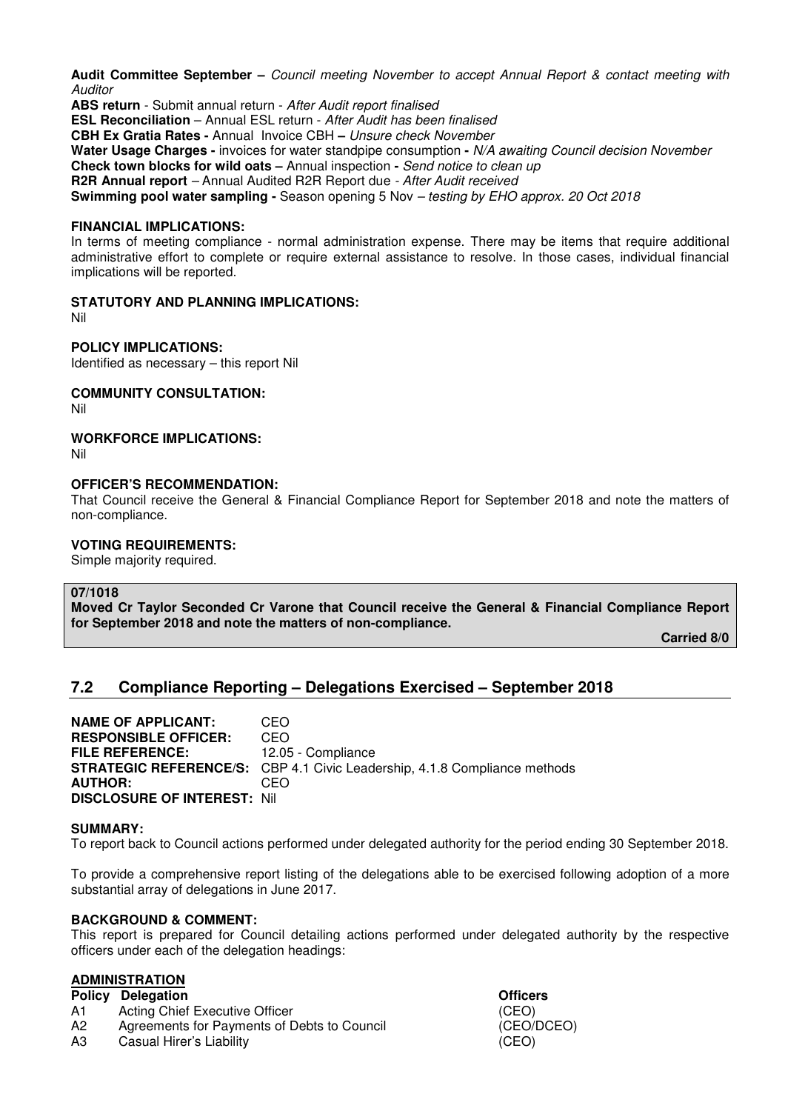**Audit Committee September –** Council meeting November to accept Annual Report & contact meeting with **Auditor** 

**ABS return** - Submit annual return - After Audit report finalised **ESL Reconciliation** – Annual ESL return - After Audit has been finalised **CBH Ex Gratia Rates -** Annual Invoice CBH **–** Unsure check November **Water Usage Charges -** invoices for water standpipe consumption **-** N/A awaiting Council decision November **Check town blocks for wild oats –** Annual inspection **-** Send notice to clean up **R2R Annual report** – Annual Audited R2R Report due - After Audit received **Swimming pool water sampling -** Season opening 5 Nov – testing by EHO approx. 20 Oct 2018

#### **FINANCIAL IMPLICATIONS:**

In terms of meeting compliance - normal administration expense. There may be items that require additional administrative effort to complete or require external assistance to resolve. In those cases, individual financial implications will be reported.

# **STATUTORY AND PLANNING IMPLICATIONS:**

Nil

# **POLICY IMPLICATIONS:**

Identified as necessary – this report Nil

**COMMUNITY CONSULTATION:** 

Nil

# **WORKFORCE IMPLICATIONS:**

Nil

# **OFFICER'S RECOMMENDATION:**

That Council receive the General & Financial Compliance Report for September 2018 and note the matters of non-compliance.

# **VOTING REQUIREMENTS:**

Simple majority required.

#### **07/1018**

**Moved Cr Taylor Seconded Cr Varone that Council receive the General & Financial Compliance Report for September 2018 and note the matters of non-compliance.** 

 **Carried 8/0** 

# **7.2 Compliance Reporting – Delegations Exercised – September 2018**

**NAME OF APPLICANT:** CEO **RESPONSIBLE OFFICER:** CEO **FILE REFERENCE:** 12.05 - Compliance **STRATEGIC REFERENCE/S:** CBP 4.1 Civic Leadership, 4.1.8 Compliance methods **AUTHOR:** CEO **DISCLOSURE OF INTEREST:** Nil

#### **SUMMARY:**

To report back to Council actions performed under delegated authority for the period ending 30 September 2018.

To provide a comprehensive report listing of the delegations able to be exercised following adoption of a more substantial array of delegations in June 2017.

# **BACKGROUND & COMMENT:**

This report is prepared for Council detailing actions performed under delegated authority by the respective officers under each of the delegation headings:

# **ADMINISTRATION**

- **Policy Delegation Community Community Policy Delegation**
- A1 Acting Chief Executive Officer (CEO)
- A2 Agreements for Payments of Debts to Council (CEO/DCEO)
- A3 Casual Hirer's Liability (CEO)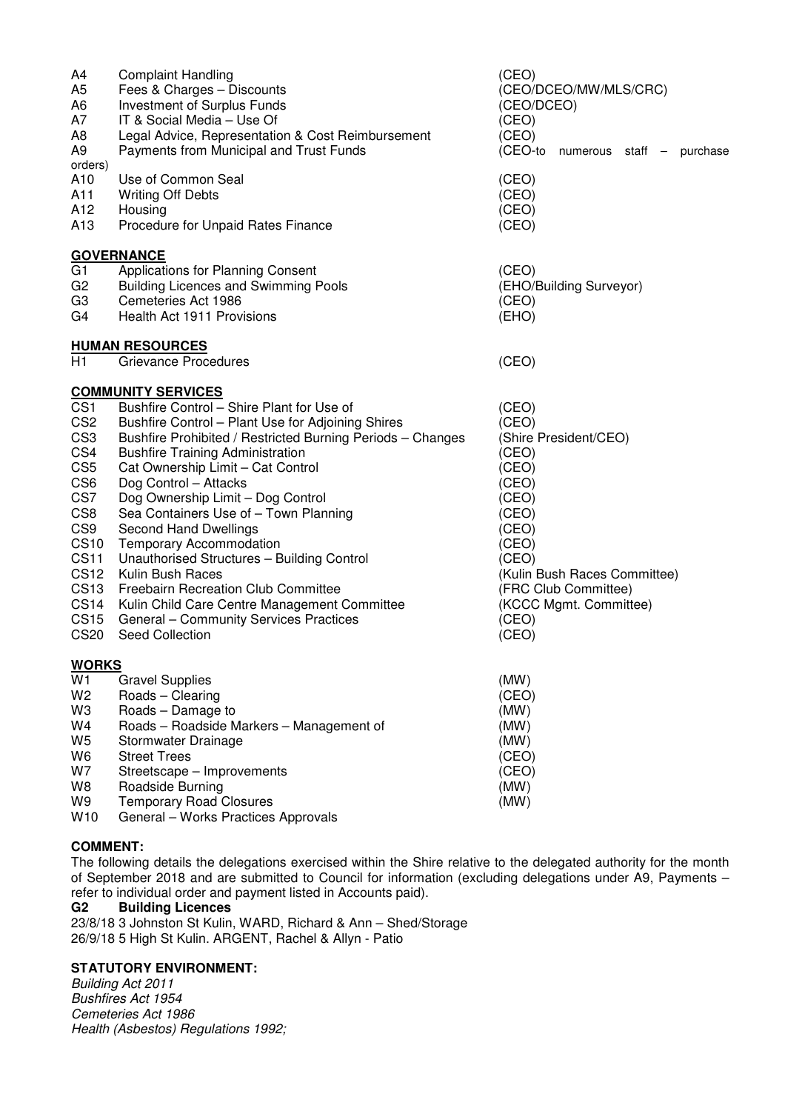| A4<br>A5<br>A6<br>Α7<br>A8<br>A9<br>orders) | <b>Complaint Handling</b><br>Fees & Charges - Discounts<br>Investment of Surplus Funds<br>IT & Social Media - Use Of<br>Legal Advice, Representation & Cost Reimbursement<br>Payments from Municipal and Trust Funds | (CEO)<br>(CEO/DCEO/MW/MLS/CRC)<br>(CEO/DCEO)<br>(CEO)<br>(CEO)<br>(CEO-to<br>numerous staff - purchase |
|---------------------------------------------|----------------------------------------------------------------------------------------------------------------------------------------------------------------------------------------------------------------------|--------------------------------------------------------------------------------------------------------|
| A10                                         | Use of Common Seal                                                                                                                                                                                                   | (CEO)                                                                                                  |
| A11                                         | <b>Writing Off Debts</b>                                                                                                                                                                                             | (CEO)                                                                                                  |
| A12                                         | Housing                                                                                                                                                                                                              | (CEO)                                                                                                  |
| A13                                         | Procedure for Unpaid Rates Finance                                                                                                                                                                                   | (CEO)                                                                                                  |
|                                             | <b>GOVERNANCE</b>                                                                                                                                                                                                    |                                                                                                        |
| G1                                          | Applications for Planning Consent                                                                                                                                                                                    | (CEO)                                                                                                  |
| G <sub>2</sub>                              | <b>Building Licences and Swimming Pools</b>                                                                                                                                                                          | (EHO/Building Surveyor)                                                                                |
| G <sub>3</sub>                              | Cemeteries Act 1986                                                                                                                                                                                                  | (CEO)                                                                                                  |
| G4                                          | Health Act 1911 Provisions                                                                                                                                                                                           | (EHO)                                                                                                  |
|                                             |                                                                                                                                                                                                                      |                                                                                                        |
|                                             | <b>HUMAN RESOURCES</b>                                                                                                                                                                                               |                                                                                                        |
| H1                                          | Grievance Procedures                                                                                                                                                                                                 | (CEO)                                                                                                  |
|                                             | <b>COMMUNITY SERVICES</b>                                                                                                                                                                                            |                                                                                                        |
| CS <sub>1</sub>                             | Bushfire Control - Shire Plant for Use of                                                                                                                                                                            | (CEO)                                                                                                  |
| CS <sub>2</sub>                             | Bushfire Control - Plant Use for Adjoining Shires                                                                                                                                                                    | (CEO)                                                                                                  |
| CS <sub>3</sub>                             | Bushfire Prohibited / Restricted Burning Periods - Changes                                                                                                                                                           | (Shire President/CEO)                                                                                  |
| CS4                                         | <b>Bushfire Training Administration</b>                                                                                                                                                                              | (CEO)                                                                                                  |
| CS <sub>5</sub>                             | Cat Ownership Limit - Cat Control                                                                                                                                                                                    | (CEO)                                                                                                  |
| CS <sub>6</sub>                             | Dog Control - Attacks                                                                                                                                                                                                | (CEO)                                                                                                  |
| CS7                                         | Dog Ownership Limit - Dog Control                                                                                                                                                                                    | (CEO)                                                                                                  |
| CS8                                         | Sea Containers Use of - Town Planning                                                                                                                                                                                | (CEO)                                                                                                  |
| CS <sub>9</sub>                             | Second Hand Dwellings                                                                                                                                                                                                | (CEO)                                                                                                  |
| <b>CS10</b>                                 | <b>Temporary Accommodation</b>                                                                                                                                                                                       | (CEO)                                                                                                  |
| <b>CS11</b>                                 | Unauthorised Structures - Building Control                                                                                                                                                                           | (CEO)                                                                                                  |
| <b>CS12</b>                                 | Kulin Bush Races                                                                                                                                                                                                     | (Kulin Bush Races Committee)                                                                           |
| <b>CS13</b>                                 | Freebairn Recreation Club Committee                                                                                                                                                                                  | (FRC Club Committee)                                                                                   |
| CS <sub>14</sub>                            | Kulin Child Care Centre Management Committee                                                                                                                                                                         | (KCCC Mgmt. Committee)                                                                                 |
| <b>CS15</b>                                 | General - Community Services Practices                                                                                                                                                                               | (CEO)                                                                                                  |
| <b>CS20</b>                                 | Seed Collection                                                                                                                                                                                                      | (CEO)                                                                                                  |
| <b>WORKS</b>                                |                                                                                                                                                                                                                      |                                                                                                        |
| W1                                          | <b>Gravel Supplies</b>                                                                                                                                                                                               | (MW)                                                                                                   |
| W2                                          | Roads - Clearing                                                                                                                                                                                                     | (CEO)                                                                                                  |
| W3                                          | Roads - Damage to                                                                                                                                                                                                    | (MW)                                                                                                   |
| W4                                          |                                                                                                                                                                                                                      | (MW)                                                                                                   |
| W5                                          |                                                                                                                                                                                                                      |                                                                                                        |
|                                             | Roads - Roadside Markers - Management of                                                                                                                                                                             |                                                                                                        |
|                                             | Stormwater Drainage                                                                                                                                                                                                  | (MW)                                                                                                   |
| W6                                          | <b>Street Trees</b>                                                                                                                                                                                                  | (CEO)                                                                                                  |
| W7                                          | Streetscape - Improvements                                                                                                                                                                                           | (CEO)                                                                                                  |
| W8<br>W9                                    | Roadside Burning<br><b>Temporary Road Closures</b>                                                                                                                                                                   | (MW)<br>(MW)                                                                                           |

# **COMMENT:**

The following details the delegations exercised within the Shire relative to the delegated authority for the month of September 2018 and are submitted to Council for information (excluding delegations under A9, Payments – refer to individual order and payment listed in Accounts paid).

**G2 Building Licences** 

23/8/18 3 Johnston St Kulin, WARD, Richard & Ann – Shed/Storage 26/9/18 5 High St Kulin. ARGENT, Rachel & Allyn - Patio

# **STATUTORY ENVIRONMENT:**

Building Act 2011 Bushfires Act 1954 Cemeteries Act 1986 Health (Asbestos) Regulations 1992;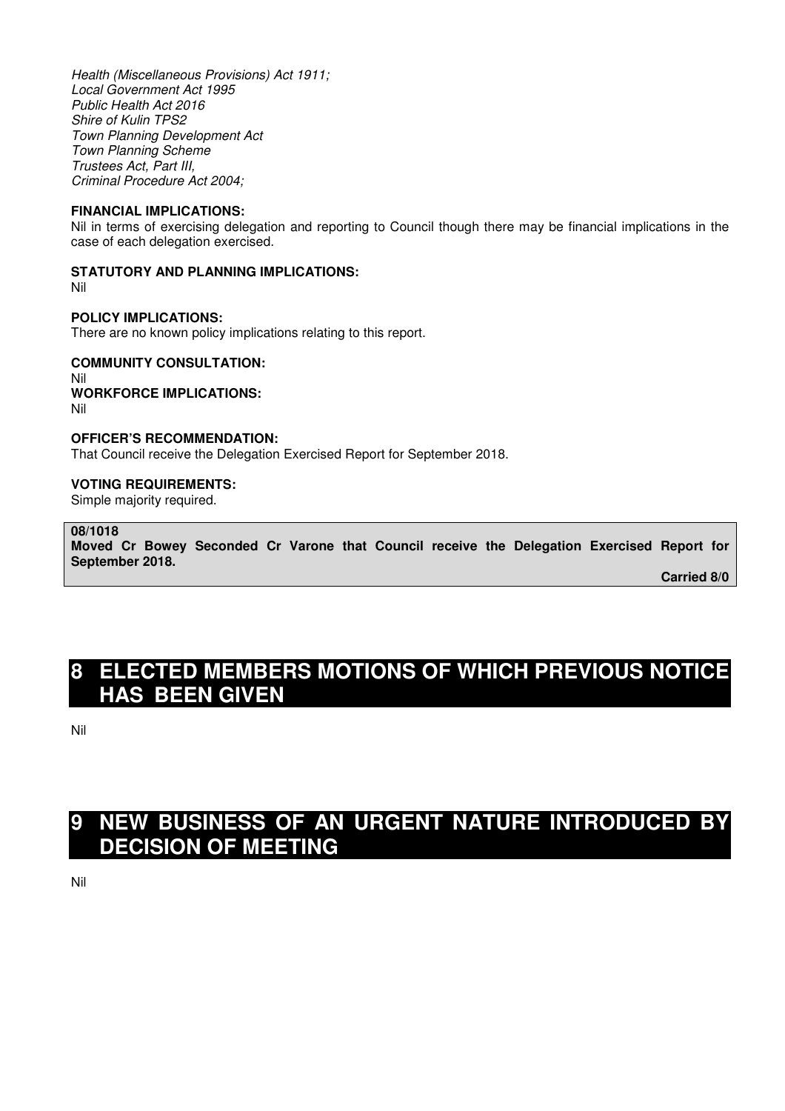Health (Miscellaneous Provisions) Act 1911; Local Government Act 1995 Public Health Act 2016 Shire of Kulin TPS2 Town Planning Development Act Town Planning Scheme Trustees Act, Part III, Criminal Procedure Act 2004;

#### **FINANCIAL IMPLICATIONS:**

Nil in terms of exercising delegation and reporting to Council though there may be financial implications in the case of each delegation exercised.

# **STATUTORY AND PLANNING IMPLICATIONS:**

Nil

# **POLICY IMPLICATIONS:**

There are no known policy implications relating to this report.

# **COMMUNITY CONSULTATION:**

Nil **WORKFORCE IMPLICATIONS:**  Nil

# **OFFICER'S RECOMMENDATION:**

That Council receive the Delegation Exercised Report for September 2018.

#### **VOTING REQUIREMENTS:**

Simple majority required.

# **08/1018**

**Moved Cr Bowey Seconded Cr Varone that Council receive the Delegation Exercised Report for September 2018.** 

 **Carried 8/0** 

# **8 ELECTED MEMBERS MOTIONS OF WHICH PREVIOUS NOTICE HAS BEEN GIVEN**

Nil

# **9 NEW BUSINESS OF AN URGENT NATURE INTRODUCED BY DECISION OF MEETING**

Nil